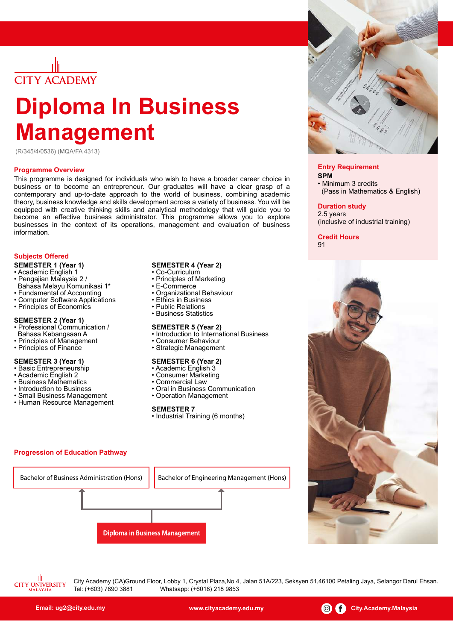

# **Diploma ln Business Management**

(R/345/4/0536) (MQA/FA 4313)

#### **Programme Overview**

This programme is designed for individuals who wish to have a broader career choice in business or to become an entrepreneur. Our graduates will have a clear grasp of a contemporary and up-to-date approach to the world of business, combining academic theory, business knowledge and skills development across a variety of business. You will be equipped with creative thinking skills and analytical methodology that will guide you to become an effective business administrator. This programme allows you to explore businesses in the context of its operations, management and evaluation of business information.

#### **Subjects Offered**

- **SEMESTER 1 (Year 1)**
- Academic English 1
- Pengajian Malaysia 2 /
- Bahasa Melayu Komunikasi 1\*
- Fundamental of Accounting
- Computer Software Applications
- Principles of Economics

#### **SEMESTER 2 (Year 1)**

- Professional Communication /
- Bahasa Kebangsaan A
- Principles of Management
- Principles of Finance

#### **SEMESTER 3 (Year 1)**

- Basic Entrepreneurship
- Academic English 2
- Business Mathematics
- Introduction to Business
- Small Business Management
- Human Resource Management

**Progression of Education Pathway**

#### **SEMESTER 4 (Year 2)**

- Co-Curriculum
- Principles of Marketing
- E-Commerce
- Organizational Behaviour
- Ethics in Business
- Public Relations
- Business Statistics

#### **SEMESTER 5 (Year 2)**

- Introduction to International Business
- Consumer Behaviour
- Strategic Management

#### **SEMESTER 6 (Year 2)** • Academic English 3

- Consumer Marketing
- Commercial Law
- Oral in Business Communication
- Operation Management

#### **SEMESTER 7**

Diploma in Business Management

Bachelor of Business Administration (Hons) | Bachelor of Engineering Management (Hons)

• Industrial Training (6 months)



#### **Entry Requirement**

**SPM** • Minimum 3 credits (Pass in Mathematics & English)

#### **Duration study**

2.5 years (inclusive of industrial training)

**Credit Hours 91** 



**CITY UNIVERSITY** 

City Academy (CA)Ground Floor, Lobby 1, Crystal Plaza,No 4, Jalan 51A/223, Seksyen 51,46100 Petaling Jaya, Selangor Darul Ehsan. Tel: (+603) 7890 3881 Whatsapp: (+6018) 218 9853